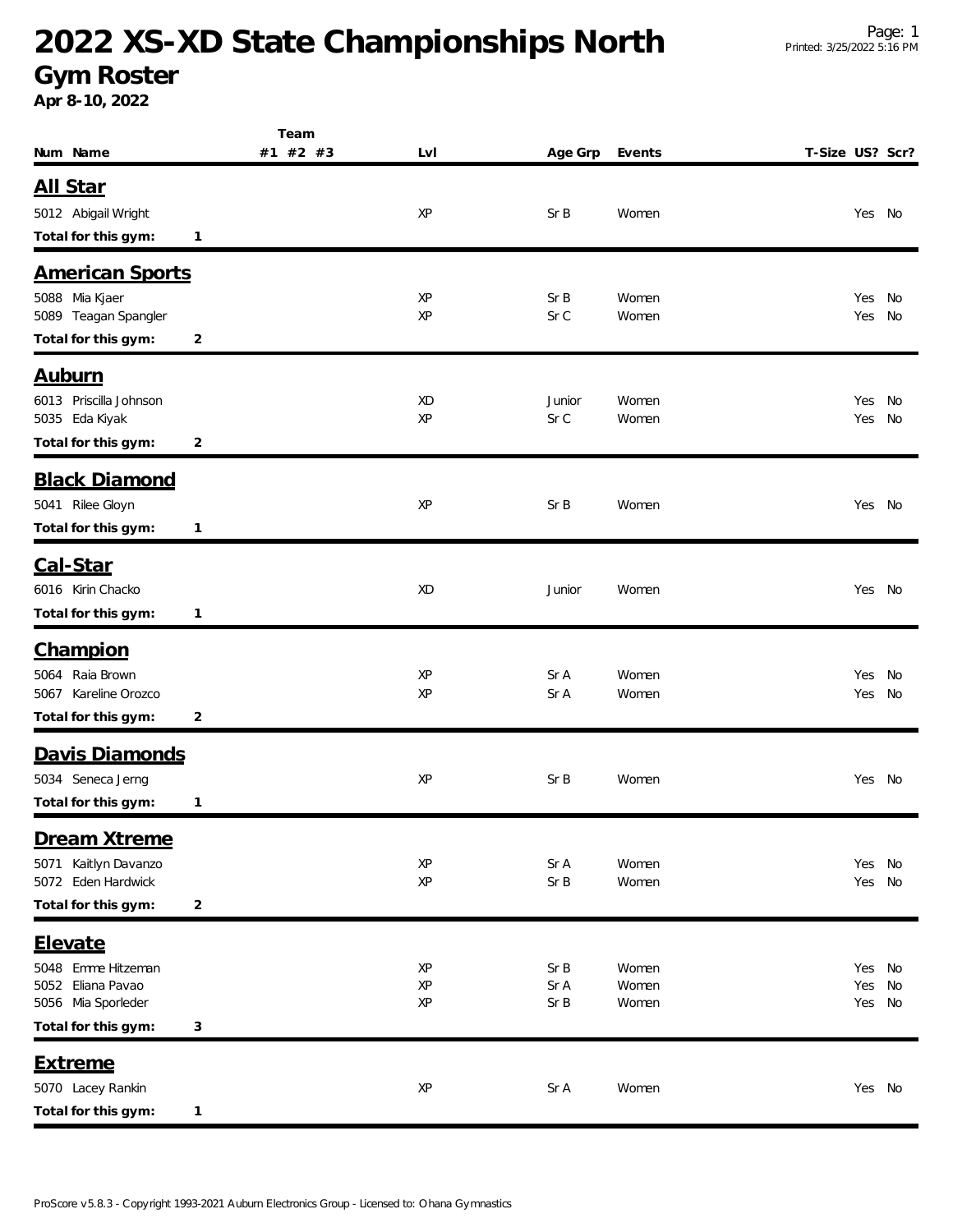## **2022 XS-XD State Championships North**

#### **Gym Roster**

**Apr 8-10, 2022**

| Num Name                                    | Team<br>#1 #2 #3 | LvI      | Age Grp | Events | T-Size US? Scr? |
|---------------------------------------------|------------------|----------|---------|--------|-----------------|
|                                             |                  |          |         |        |                 |
| <u>All Star</u>                             |                  |          |         |        |                 |
| 5012 Abigail Wright                         |                  | XP       | Sr B    | Women  | Yes No          |
| Total for this gym:                         | 1                |          |         |        |                 |
| <b>American Sports</b>                      |                  |          |         |        |                 |
| 5088 Mia Kjaer                              |                  | XP       | Sr B    | Women  | Yes<br>No       |
| 5089 Teagan Spangler<br>Total for this gym: |                  | XP       | Sr C    | Women  | Yes<br>No       |
|                                             | 2                |          |         |        |                 |
| <u>Auburn</u>                               |                  |          |         |        |                 |
| 6013 Priscilla Johnson                      |                  | XD<br>XP | Junior  | Women  | No<br>Yes       |
| 5035 Eda Kiyak<br>Total for this gym:       | 2                |          | Sr C    | Women  | Yes<br>No       |
|                                             |                  |          |         |        |                 |
| <b>Black Diamond</b>                        |                  |          |         |        |                 |
| 5041 Rilee Gloyn                            |                  | XP       | Sr B    | Women  | Yes No          |
| Total for this gym:                         | 1                |          |         |        |                 |
| Cal-Star                                    |                  |          |         |        |                 |
| 6016 Kirin Chacko                           |                  | XD       | Junior  | Women  | Yes No          |
| Total for this gym:                         | $\mathbf{1}$     |          |         |        |                 |
| Champion                                    |                  |          |         |        |                 |
| 5064 Raia Brown                             |                  | XP       | Sr A    | Women  | Yes<br>No       |
| 5067 Kareline Orozco                        |                  | XP       | Sr A    | Women  | No<br>Yes       |
| Total for this gym:                         | 2                |          |         |        |                 |
| Davis Diamonds                              |                  |          |         |        |                 |
| 5034 Seneca Jerng                           |                  | XP       | Sr B    | Women  | Yes No          |
| Total for this gym:                         | 1                |          |         |        |                 |
| Dream Xtreme                                |                  |          |         |        |                 |
| 5071 Kaitlyn Davanzo                        |                  | XP       | Sr A    | Women  | Yes<br>No       |
| 5072 Eden Hardwick                          |                  | XP       | Sr B    | Women  | Yes<br>No       |
| Total for this gym:                         | $\overline{c}$   |          |         |        |                 |
| Elevate                                     |                  |          |         |        |                 |
| 5048 Emme Hitzeman                          |                  | XP       | Sr B    | Women  | Yes<br>No       |
| 5052 Eliana Pavao                           |                  | XP       | Sr A    | Women  | Yes<br>No       |
| 5056 Mia Sporleder                          |                  | XP       | Sr B    | Women  | Yes<br>No       |
| Total for this gym:                         | 3                |          |         |        |                 |
| <b>Extreme</b>                              |                  |          |         |        |                 |
| 5070 Lacey Rankin                           |                  | XP       | Sr A    | Women  | Yes No          |
| Total for this gym:                         | 1                |          |         |        |                 |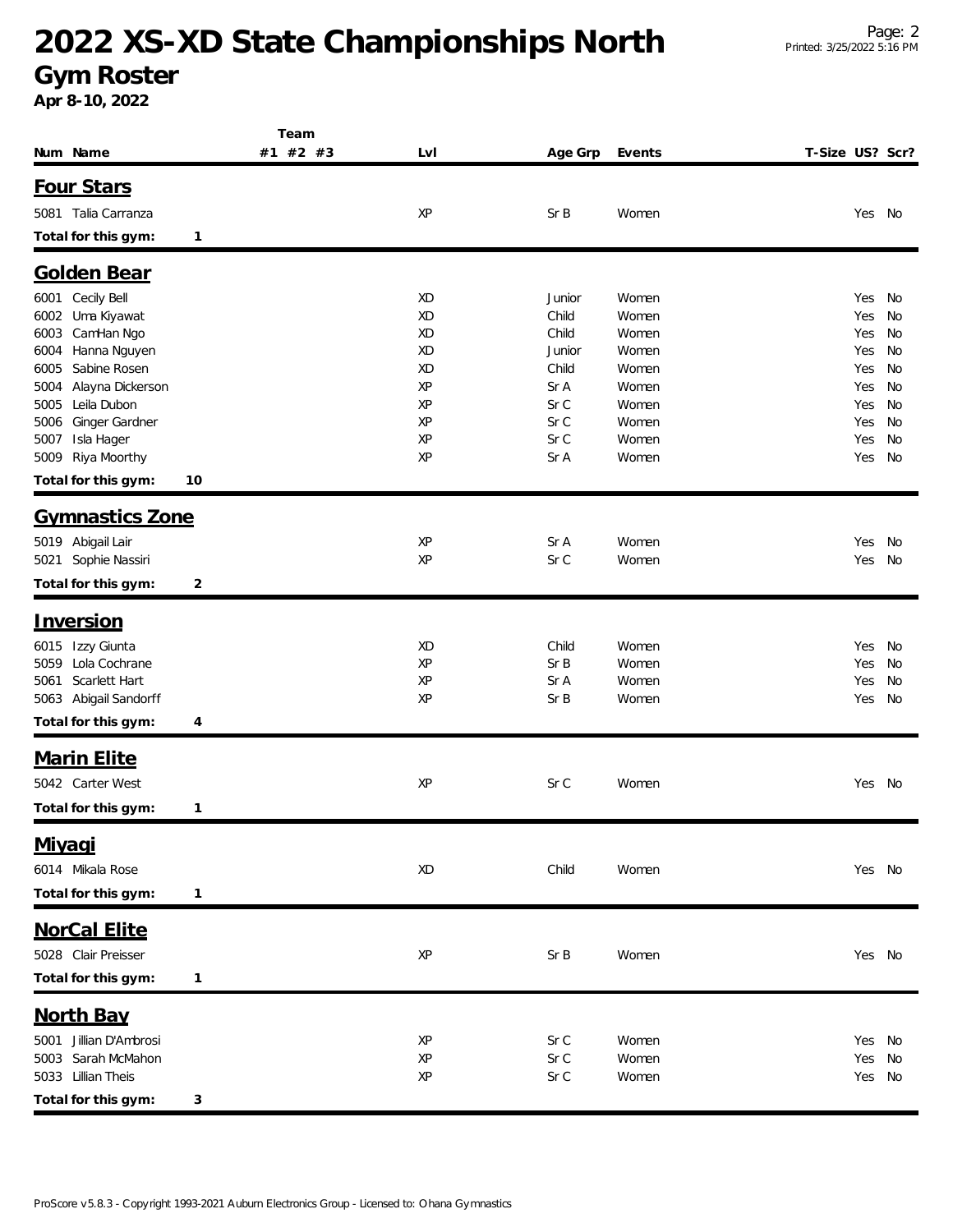## **2022 XS-XD State Championships North**

### **Gym Roster**

**Apr 8-10, 2022**

|                           | Team     |     |         |        |                 |        |    |
|---------------------------|----------|-----|---------|--------|-----------------|--------|----|
| Num Name                  | #1 #2 #3 | LvI | Age Grp | Events | T-Size US? Scr? |        |    |
| Four Stars                |          |     |         |        |                 |        |    |
|                           |          |     |         |        |                 |        |    |
| 5081 Talia Carranza       |          | XP  | Sr B    | Women  |                 | Yes    | No |
| Total for this gym:<br>1  |          |     |         |        |                 |        |    |
| Golden Bear               |          |     |         |        |                 |        |    |
| 6001 Cecily Bell          |          | XD  | Junior  | Women  |                 | Yes    | No |
| Uma Kiyawat<br>6002       |          | XD  | Child   | Women  |                 | Yes    | No |
| CamHan Ngo<br>6003        |          | XD  | Child   | Women  |                 | Yes    | No |
| Hanna Nguyen<br>6004      |          | XD  | Junior  | Women  |                 | Yes    | No |
| Sabine Rosen<br>6005      |          | XD  | Child   | Women  |                 | Yes    | No |
| Alayna Dickerson<br>5004  |          | XP  | Sr A    | Women  |                 | Yes    | No |
| Leila Dubon<br>5005       |          | XP  | Sr C    | Women  |                 | Yes    | No |
| Ginger Gardner<br>5006    |          | XP  | Sr C    | Women  |                 | Yes    | No |
| Isla Hager<br>5007        |          | XP  | Sr C    | Women  |                 | Yes    | No |
| Riya Moorthy<br>5009      |          | XP  | Sr A    | Women  |                 | Yes    | No |
| Total for this gym:<br>10 |          |     |         |        |                 |        |    |
|                           |          |     |         |        |                 |        |    |
| <b>Gymnastics Zone</b>    |          |     |         |        |                 |        |    |
| 5019 Abigail Lair         |          | XP  | Sr A    | Women  |                 | Yes    | No |
| 5021 Sophie Nassiri       |          | XP  | Sr C    | Women  |                 | Yes    | No |
| Total for this gym:<br>2  |          |     |         |        |                 |        |    |
| <b>Inversion</b>          |          |     |         |        |                 |        |    |
|                           |          |     |         |        |                 |        |    |
| 6015 Izzy Giunta          |          | XD  | Child   | Women  |                 | Yes    | No |
| Lola Cochrane<br>5059     |          | XP  | Sr B    | Women  |                 | Yes    | No |
| Scarlett Hart<br>5061     |          | XP  | Sr A    | Women  |                 | Yes    | No |
| 5063 Abigail Sandorff     |          | XP  | Sr B    | Women  |                 | Yes    | No |
| Total for this gym:<br>4  |          |     |         |        |                 |        |    |
| <b>Marin Elite</b>        |          |     |         |        |                 |        |    |
| 5042 Carter West          |          | XP  | Sr C    | Women  |                 | Yes No |    |
|                           |          |     |         |        |                 |        |    |
| Total for this gym:<br>1  |          |     |         |        |                 |        |    |
| Miyagi                    |          |     |         |        |                 |        |    |
| 6014 Mikala Rose          |          | XD  | Child   | Women  |                 | Yes No |    |
|                           |          |     |         |        |                 |        |    |
| Total for this gym:<br>1  |          |     |         |        |                 |        |    |
| <b>NorCal Elite</b>       |          |     |         |        |                 |        |    |
| 5028 Clair Preisser       |          | XP  | Sr B    | Women  |                 | Yes No |    |
|                           |          |     |         |        |                 |        |    |
| Total for this gym:<br>1  |          |     |         |        |                 |        |    |
| <b>North Bay</b>          |          |     |         |        |                 |        |    |
| 5001 Jillian D'Ambrosi    |          | XP  | Sr C    | Women  |                 | Yes    | No |
| Sarah McMahon<br>5003     |          | XP  | Sr C    | Women  |                 | Yes    | No |
| 5033 Lillian Theis        |          | XP  | Sr C    | Women  |                 | Yes    | No |
|                           |          |     |         |        |                 |        |    |
| Total for this gym:<br>3  |          |     |         |        |                 |        |    |